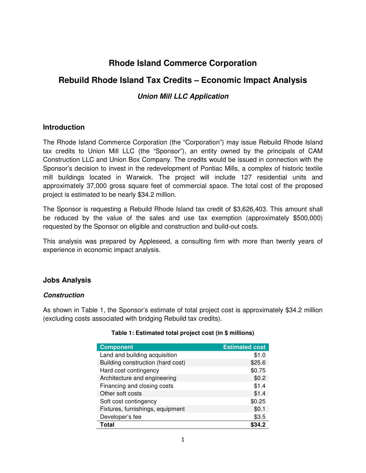# **Rhode Island Commerce Corporation**

## **Rebuild Rhode Island Tax Credits – Economic Impact Analysis**

## **Union Mill LLC Application**

## **Introduction**

The Rhode Island Commerce Corporation (the "Corporation") may issue Rebuild Rhode Island tax credits to Union Mill LLC (the "Sponsor"), an entity owned by the principals of CAM Construction LLC and Union Box Company. The credits would be issued in connection with the Sponsor's decision to invest in the redevelopment of Pontiac Mills, a complex of historic textile mill buildings located in Warwick. The project will include 127 residential units and approximately 37,000 gross square feet of commercial space. The total cost of the proposed project is estimated to be nearly \$34.2 million.

The Sponsor is requesting a Rebuild Rhode Island tax credit of \$3,626,403. This amount shall be reduced by the value of the sales and use tax exemption (approximately \$500,000) requested by the Sponsor on eligible and construction and build-out costs.

This analysis was prepared by Appleseed, a consulting firm with more than twenty years of experience in economic impact analysis.

## **Jobs Analysis**

### **Construction**

As shown in Table 1, the Sponsor's estimate of total project cost is approximately \$34.2 million (excluding costs associated with bridging Rebuild tax credits).

| <b>Component</b>                  | <b>Estimated cost</b> |
|-----------------------------------|-----------------------|
| Land and building acquisition     | \$1.0                 |
| Building construction (hard cost) | \$25.6                |
| Hard cost contingency             | \$0.75                |
| Architecture and engineering      | \$0.2                 |
| Financing and closing costs       | \$1.4                 |
| Other soft costs                  | \$1.4                 |
| Soft cost contingency             | \$0.25                |
| Fixtures, furnishings, equipment  | \$0.1                 |
| Developer's fee                   | \$3.5                 |
| Total                             |                       |

#### **Table 1: Estimated total project cost (in \$ millions)**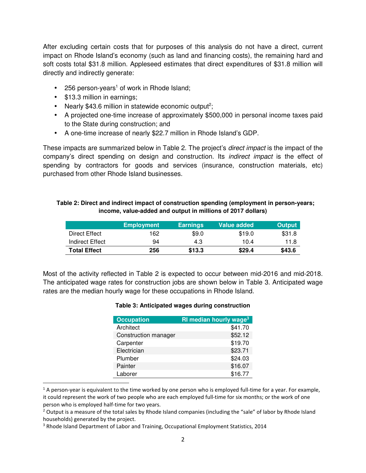After excluding certain costs that for purposes of this analysis do not have a direct, current impact on Rhode Island's economy (such as land and financing costs), the remaining hard and soft costs total \$31.8 million. Appleseed estimates that direct expenditures of \$31.8 million will directly and indirectly generate:

- $\bullet$  256 person-years<sup>1</sup> of work in Rhode Island;
- \$13.3 million in earnings;

<u>.</u>

- Nearly \$43.6 million in statewide economic output<sup>2</sup>;
- A projected one-time increase of approximately \$500,000 in personal income taxes paid to the State during construction; and
- A one-time increase of nearly \$22.7 million in Rhode Island's GDP.

These impacts are summarized below in Table 2. The project's *direct impact* is the impact of the company's direct spending on design and construction. Its indirect impact is the effect of spending by contractors for goods and services (insurance, construction materials, etc) purchased from other Rhode Island businesses.

| Table 2: Direct and indirect impact of construction spending (employment in person-years; |
|-------------------------------------------------------------------------------------------|
| income, value-added and output in millions of 2017 dollars)                               |

|                     | <b>Employment</b> | <b>Earnings</b> | Value added | <b>Output</b> |
|---------------------|-------------------|-----------------|-------------|---------------|
| Direct Effect       | 162.              | \$9.0           | \$19.0      | \$31.8        |
| Indirect Effect     | 94                | 4.3             | 10.4        | 11.8          |
| <b>Total Effect</b> | 256               | \$13.3          | \$29.4      | \$43.6        |

Most of the activity reflected in Table 2 is expected to occur between mid-2016 and mid-2018. The anticipated wage rates for construction jobs are shown below in Table 3. Anticipated wage rates are the median hourly wage for these occupations in Rhode Island.

#### **Table 3: Anticipated wages during construction**

| <b>Occupation</b>    | <b>RI median hourly wage<sup>3</sup></b> |
|----------------------|------------------------------------------|
| Architect            | \$41.70                                  |
| Construction manager | \$52.12                                  |
| Carpenter            | \$19.70                                  |
| Electrician          | \$23.71                                  |
| Plumber              | \$24.03                                  |
| Painter              | \$16.07                                  |
| Laborer              | \$16.77                                  |

 $1$  A person-year is equivalent to the time worked by one person who is employed full-time for a year. For example, it could represent the work of two people who are each employed full-time for six months; or the work of one person who is employed half-time for two years.

 $2$  Output is a measure of the total sales by Rhode Island companies (including the "sale" of labor by Rhode Island households) generated by the project.

<sup>&</sup>lt;sup>3</sup> Rhode Island Department of Labor and Training, Occupational Employment Statistics, 2014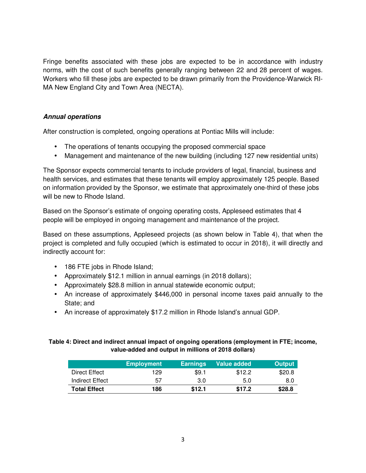Fringe benefits associated with these jobs are expected to be in accordance with industry norms, with the cost of such benefits generally ranging between 22 and 28 percent of wages. Workers who fill these jobs are expected to be drawn primarily from the Providence-Warwick RI-MA New England City and Town Area (NECTA).

### **Annual operations**

After construction is completed, ongoing operations at Pontiac Mills will include:

- The operations of tenants occupying the proposed commercial space
- Management and maintenance of the new building (including 127 new residential units)

The Sponsor expects commercial tenants to include providers of legal, financial, business and health services, and estimates that these tenants will employ approximately 125 people. Based on information provided by the Sponsor, we estimate that approximately one-third of these jobs will be new to Rhode Island.

Based on the Sponsor's estimate of ongoing operating costs, Appleseed estimates that 4 people will be employed in ongoing management and maintenance of the project.

Based on these assumptions, Appleseed projects (as shown below in Table 4), that when the project is completed and fully occupied (which is estimated to occur in 2018), it will directly and indirectly account for:

- 186 FTE jobs in Rhode Island;
- Approximately \$12.1 million in annual earnings (in 2018 dollars);
- Approximately \$28.8 million in annual statewide economic output;
- An increase of approximately \$446,000 in personal income taxes paid annually to the State; and
- An increase of approximately \$17.2 million in Rhode Island's annual GDP.

#### **Table 4: Direct and indirect annual impact of ongoing operations (employment in FTE; income, value-added and output in millions of 2018 dollars)**

|                     | <b>Employment</b> | <b>Earnings</b> | Value added | <b>Output</b> |
|---------------------|-------------------|-----------------|-------------|---------------|
| Direct Effect       | 129               | \$9.1           | \$12.2      | \$20.8        |
| Indirect Effect     | 57                | 3.0             | 5.0         | 8.0           |
| <b>Total Effect</b> | 186               | \$12.1          | \$17.2      | \$28.8        |